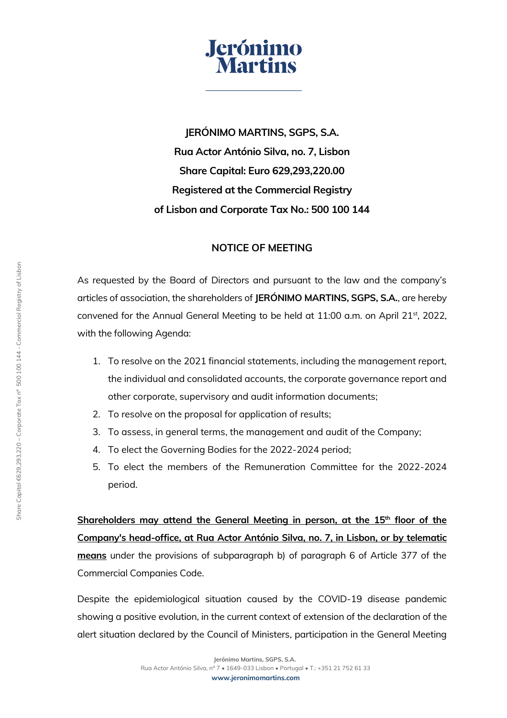

**JERÓNIMO MARTINS, SGPS, S.A. Rua Actor António Silva, no. 7, Lisbon Share Capital: Euro 629,293,220.00 Registered at the Commercial Registry of Lisbon and Corporate Tax No.: 500 100 144**

#### **NOTICE OF MEETING**

As requested by the Board of Directors and pursuant to the law and the company's articles of association, the shareholders of **JERÓNIMO MARTINS, SGPS, S.A.**, are hereby convened for the Annual General Meeting to be held at 11:00 a.m. on April 21<sup>st</sup>, 2022, with the following Agenda:

- 1. To resolve on the 2021 financial statements, including the management report, the individual and consolidated accounts, the corporate governance report and other corporate, supervisory and audit information documents;
- 2. To resolve on the proposal for application of results;
- 3. To assess, in general terms, the management and audit of the Company;
- 4. To elect the Governing Bodies for the 2022-2024 period;
- 5. To elect the members of the Remuneration Committee for the 2022-2024 period.

**Shareholders may attend the General Meeting in person, at the 15th floor of the Company's head-office, at Rua Actor António Silva, no. 7, in Lisbon, or by telematic means** under the provisions of subparagraph b) of paragraph 6 of Article 377 of the Commercial Companies Code.

Despite the epidemiological situation caused by the COVID-19 disease pandemic showing a positive evolution, in the current context of extension of the declaration of the alert situation declared by the Council of Ministers, participation in the General Meeting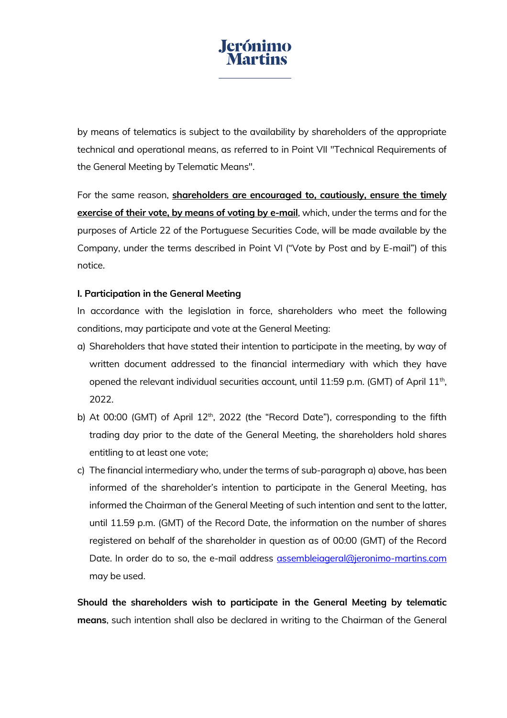by means of telematics is subject to the availability by shareholders of the appropriate technical and operational means, as referred to in Point VII "Technical Requirements of the General Meeting by Telematic Means".

For the same reason, **shareholders are encouraged to, cautiously, ensure the timely exercise of their vote, by means of voting by e-mail**, which, under the terms and for the purposes of Article 22 of the Portuguese Securities Code, will be made available by the Company, under the terms described in Point VI ("Vote by Post and by E-mail") of this notice.

#### **I. Participation in the General Meeting**

In accordance with the legislation in force, shareholders who meet the following conditions, may participate and vote at the General Meeting:

- a) Shareholders that have stated their intention to participate in the meeting, by way of written document addressed to the financial intermediary with which they have opened the relevant individual securities account, until 11:59 p.m. (GMT) of April  $11<sup>th</sup>$ , 2022.
- b) At 00:00 (GMT) of April 12<sup>th</sup>, 2022 (the "Record Date"), corresponding to the fifth trading day prior to the date of the General Meeting, the shareholders hold shares entitling to at least one vote;
- c) The financial intermediary who, under the terms of sub-paragraph a) above, has been informed of the shareholder's intention to participate in the General Meeting, has informed the Chairman of the General Meeting of such intention and sent to the latter, until 11.59 p.m. (GMT) of the Record Date, the information on the number of shares registered on behalf of the shareholder in question as of 00:00 (GMT) of the Record Date. In order do to so, the e-mail address [assembleiageral@jeronimo-martins.com](mailto:assembleiageral@jeronimo-martins.com) may be used.

**Should the shareholders wish to participate in the General Meeting by telematic means**, such intention shall also be declared in writing to the Chairman of the General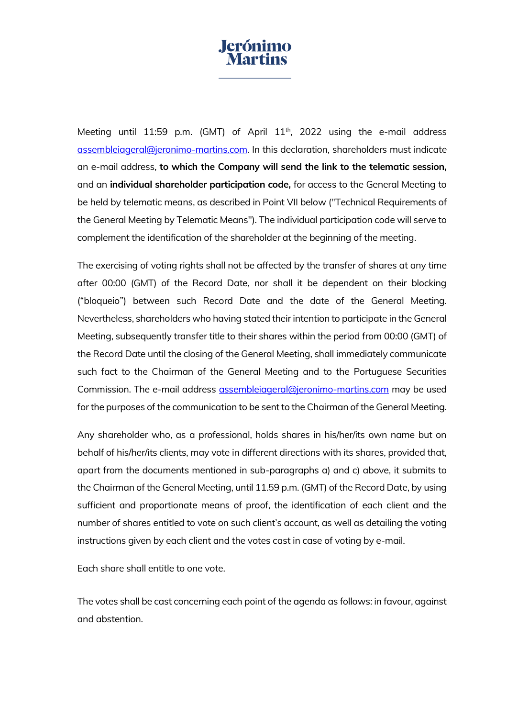Meeting until 11:59 p.m. (GMT) of April  $11<sup>th</sup>$ , 2022 using the e-mail address [assembleiageral@jeronimo-martins.com.](mailto:assembleiageral@jeronimo-martins.com) In this declaration, shareholders must indicate an e-mail address, **to which the Company will send the link to the telematic session,**  and an **individual shareholder participation code,** for access to the General Meeting to be held by telematic means, as described in Point VII below ("Technical Requirements of the General Meeting by Telematic Means"). The individual participation code will serve to complement the identification of the shareholder at the beginning of the meeting.

The exercising of voting rights shall not be affected by the transfer of shares at any time after 00:00 (GMT) of the Record Date, nor shall it be dependent on their blocking ("bloqueio") between such Record Date and the date of the General Meeting. Nevertheless, shareholders who having stated their intention to participate in the General Meeting, subsequently transfer title to their shares within the period from 00:00 (GMT) of the Record Date until the closing of the General Meeting, shall immediately communicate such fact to the Chairman of the General Meeting and to the Portuguese Securities Commission. The e-mail address [assembleiageral@jeronimo-martins.com](mailto:assembleiageral@jeronimo-martins.com) may be used for the purposes of the communication to be sent to the Chairman of the General Meeting.

Any shareholder who, as a professional, holds shares in his/her/its own name but on behalf of his/her/its clients, may vote in different directions with its shares, provided that, apart from the documents mentioned in sub-paragraphs a) and c) above, it submits to the Chairman of the General Meeting, until 11.59 p.m. (GMT) of the Record Date, by using sufficient and proportionate means of proof, the identification of each client and the number of shares entitled to vote on such client's account, as well as detailing the voting instructions given by each client and the votes cast in case of voting by e-mail.

Each share shall entitle to one vote.

The votes shall be cast concerning each point of the agenda as follows: in favour, against and abstention.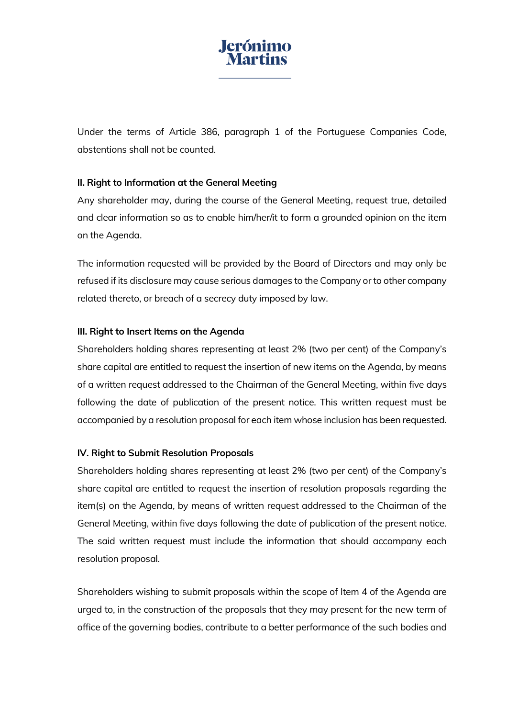# **Jeró**

Under the terms of Article 386, paragraph 1 of the Portuguese Companies Code, abstentions shall not be counted.

## **II. Right to Information at the General Meeting**

Any shareholder may, during the course of the General Meeting, request true, detailed and clear information so as to enable him/her/it to form a grounded opinion on the item on the Agenda.

The information requested will be provided by the Board of Directors and may only be refused if its disclosure may cause serious damages to the Company or to other company related thereto, or breach of a secrecy duty imposed by law.

## **III. Right to Insert Items on the Agenda**

Shareholders holding shares representing at least 2% (two per cent) of the Company's share capital are entitled to request the insertion of new items on the Agenda, by means of a written request addressed to the Chairman of the General Meeting, within five days following the date of publication of the present notice. This written request must be accompanied by a resolution proposal for each item whose inclusion has been requested.

## **IV. Right to Submit Resolution Proposals**

Shareholders holding shares representing at least 2% (two per cent) of the Company's share capital are entitled to request the insertion of resolution proposals regarding the item(s) on the Agenda, by means of written request addressed to the Chairman of the General Meeting, within five days following the date of publication of the present notice. The said written request must include the information that should accompany each resolution proposal.

Shareholders wishing to submit proposals within the scope of Item 4 of the Agenda are urged to, in the construction of the proposals that they may present for the new term of office of the governing bodies, contribute to a better performance of the such bodies and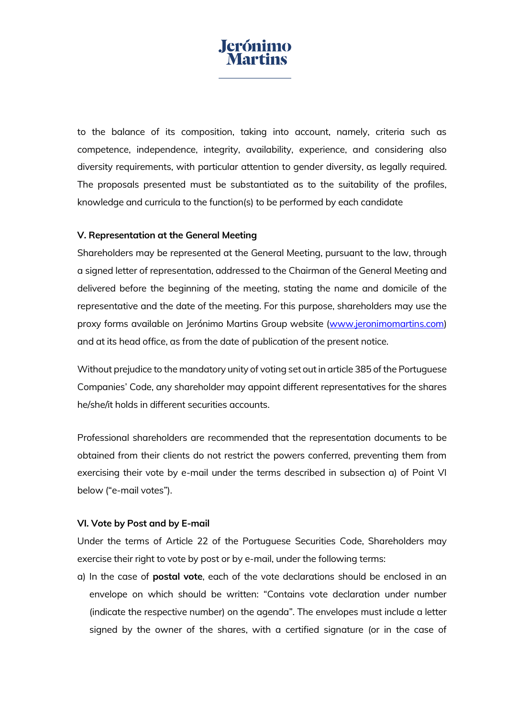to the balance of its composition, taking into account, namely, criteria such as competence, independence, integrity, availability, experience, and considering also diversity requirements, with particular attention to gender diversity, as legally required. The proposals presented must be substantiated as to the suitability of the profiles, knowledge and curricula to the function(s) to be performed by each candidate

#### **V. Representation at the General Meeting**

Shareholders may be represented at the General Meeting, pursuant to the law, through a signed letter of representation, addressed to the Chairman of the General Meeting and delivered before the beginning of the meeting, stating the name and domicile of the representative and the date of the meeting. For this purpose, shareholders may use the proxy forms available on Jerónimo Martins Group website [\(www.jeronimomartins.com\)](https://www.jeronimomartins.com/) and at its head office, as from the date of publication of the present notice.

Without prejudice to the mandatory unity of voting set out in article 385 of the Portuguese Companies' Code, any shareholder may appoint different representatives for the shares he/she/it holds in different securities accounts.

Professional shareholders are recommended that the representation documents to be obtained from their clients do not restrict the powers conferred, preventing them from exercising their vote by e-mail under the terms described in subsection a) of Point VI below ("e-mail votes").

#### **VI. Vote by Post and by E-mail**

Under the terms of Article 22 of the Portuguese Securities Code, Shareholders may exercise their right to vote by post or by e-mail, under the following terms:

a) In the case of **postal vote**, each of the vote declarations should be enclosed in an envelope on which should be written: "Contains vote declaration under number (indicate the respective number) on the agenda". The envelopes must include a letter signed by the owner of the shares, with a certified signature (or in the case of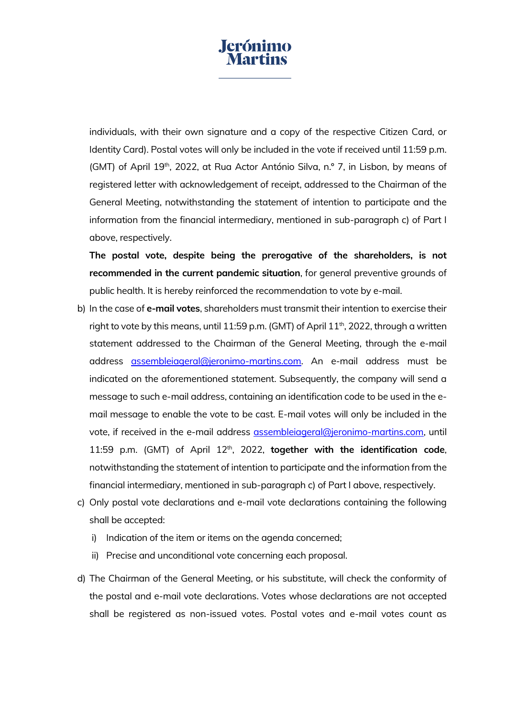## **Jerónimo**

individuals, with their own signature and a copy of the respective Citizen Card, or Identity Card). Postal votes will only be included in the vote if received until 11:59 p.m. (GMT) of April 19<sup>th</sup>, 2022, at Rua Actor António Silva, n.º 7, in Lisbon, by means of registered letter with acknowledgement of receipt, addressed to the Chairman of the General Meeting, notwithstanding the statement of intention to participate and the information from the financial intermediary, mentioned in sub-paragraph c) of Part I above, respectively.

**The postal vote, despite being the prerogative of the shareholders, is not recommended in the current pandemic situation**, for general preventive grounds of public health. It is hereby reinforced the recommendation to vote by e-mail.

- b) In the case of **e-mail votes**, shareholders must transmit their intention to exercise their right to vote by this means, until 11:59 p.m. (GMT) of April  $11<sup>th</sup>$ , 2022, through a written statement addressed to the Chairman of the General Meeting, through the e-mail address [assembleiageral@jeronimo-martins.com.](mailto:assembleiageral@jeronimo-martins.com) An e-mail address must be indicated on the aforementioned statement. Subsequently, the company will send a message to such e-mail address, containing an identification code to be used in the email message to enable the vote to be cast. E-mail votes will only be included in the vote, if received in the e-mail address **assembleiageral@jeronimo-martins.com**, until 11:59 p.m. (GMT) of April 12<sup>th</sup>, 2022, together with the identification code, notwithstanding the statement of intention to participate and the information from the financial intermediary, mentioned in sub-paragraph c) of Part I above, respectively.
- c) Only postal vote declarations and e-mail vote declarations containing the following shall be accepted:
	- i) Indication of the item or items on the agenda concerned;
	- ii) Precise and unconditional vote concerning each proposal.
- d) The Chairman of the General Meeting, or his substitute, will check the conformity of the postal and e-mail vote declarations. Votes whose declarations are not accepted shall be registered as non-issued votes. Postal votes and e-mail votes count as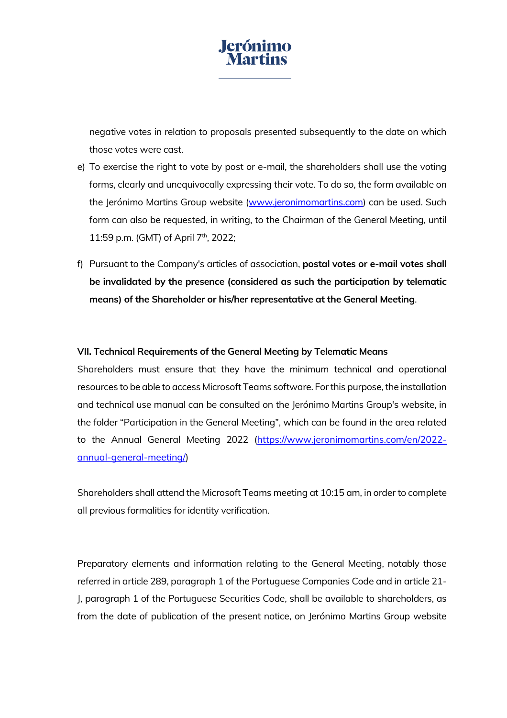negative votes in relation to proposals presented subsequently to the date on which those votes were cast.

- e) To exercise the right to vote by post or e-mail, the shareholders shall use the voting forms, clearly and unequivocally expressing their vote. To do so, the form available on the Jerónimo Martins Group website [\(www.jeronimomartins.com\)](https://www.jeronimomartins.com/) can be used. Such form can also be requested, in writing, to the Chairman of the General Meeting, until 11:59 p.m. (GMT) of April 7<sup>th</sup>, 2022;
- f) Pursuant to the Company's articles of association, **postal votes or e-mail votes shall be invalidated by the presence (considered as such the participation by telematic means) of the Shareholder or his/her representative at the General Meeting**.

## **VII. Technical Requirements of the General Meeting by Telematic Means**

Shareholders must ensure that they have the minimum technical and operational resources to be able to access Microsoft Teams software. For this purpose, the installation and technical use manual can be consulted on the Jerónimo Martins Group's website, in the folder "Participation in the General Meeting", which can be found in the area related to the Annual General Meeting 2022 [\(https://www.jeronimomartins.com/en/2022](https://www.jeronimomartins.com/en/2022-annual-general-meeting/) [annual-general-meeting/\)](https://www.jeronimomartins.com/en/2022-annual-general-meeting/)

Shareholders shall attend the Microsoft Teams meeting at 10:15 am, in order to complete all previous formalities for identity verification.

Preparatory elements and information relating to the General Meeting, notably those referred in article 289, paragraph 1 of the Portuguese Companies Code and in article 21- J, paragraph 1 of the Portuguese Securities Code, shall be available to shareholders, as from the date of publication of the present notice, on Jerónimo Martins Group website